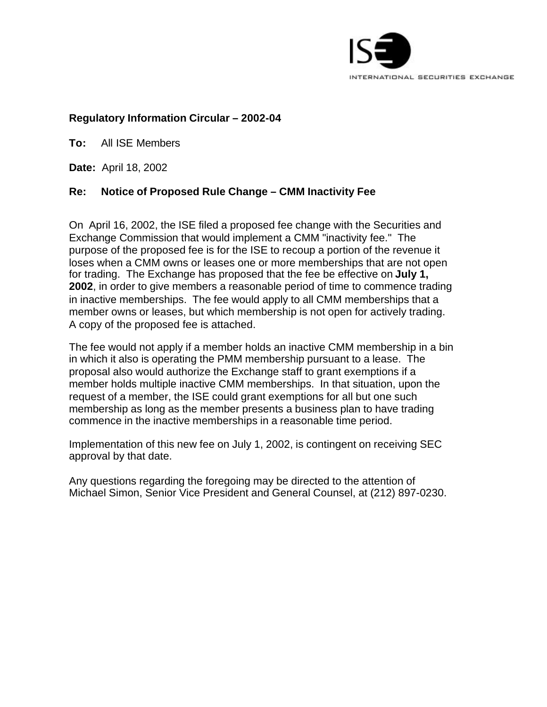

# **Regulatory Information Circular – 2002-04**

**To:** All ISE Members

**Date:** April 18, 2002

# **Re: Notice of Proposed Rule Change – CMM Inactivity Fee**

On April 16, 2002, the ISE filed a proposed fee change with the Securities and Exchange Commission that would implement a CMM "inactivity fee." The purpose of the proposed fee is for the ISE to recoup a portion of the revenue it loses when a CMM owns or leases one or more memberships that are not open for trading. The Exchange has proposed that the fee be effective on **July 1, 2002**, in order to give members a reasonable period of time to commence trading in inactive memberships. The fee would apply to all CMM memberships that a member owns or leases, but which membership is not open for actively trading. A copy of the proposed fee is attached.

The fee would not apply if a member holds an inactive CMM membership in a bin in which it also is operating the PMM membership pursuant to a lease. The proposal also would authorize the Exchange staff to grant exemptions if a member holds multiple inactive CMM memberships. In that situation, upon the request of a member, the ISE could grant exemptions for all but one such membership as long as the member presents a business plan to have trading commence in the inactive memberships in a reasonable time period.

Implementation of this new fee on July 1, 2002, is contingent on receiving SEC approval by that date.

Any questions regarding the foregoing may be directed to the attention of Michael Simon, Senior Vice President and General Counsel, at (212) 897-0230.